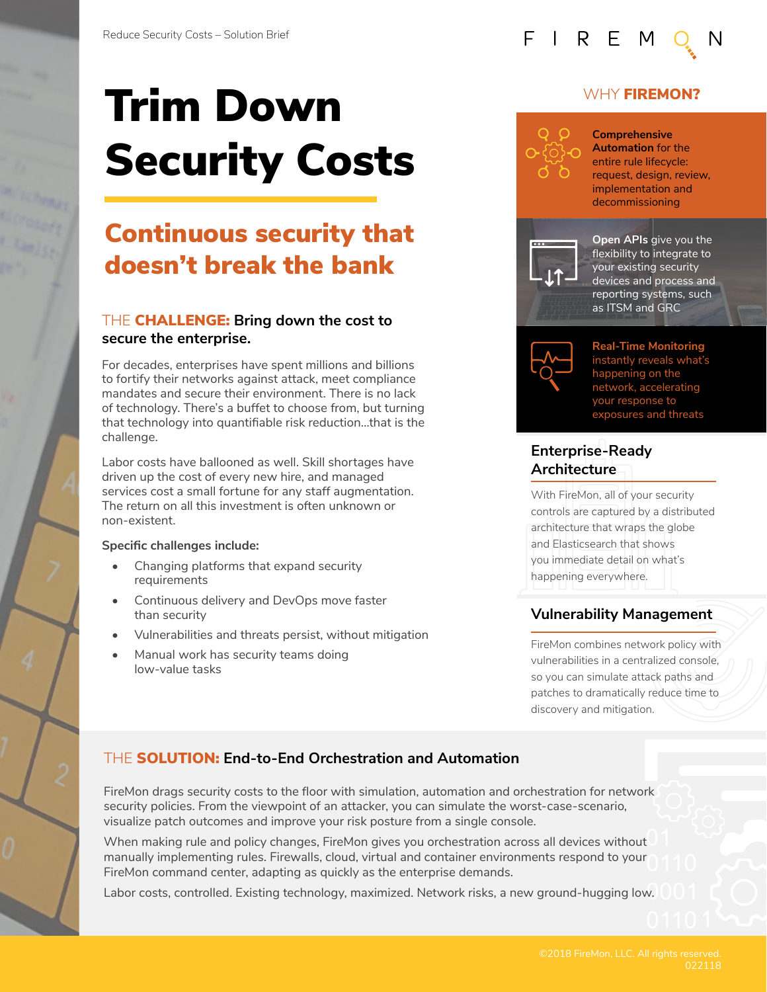# Trim Down Security Costs

# Continuous security that doesn't break the bank

### THE CHALLENGE: **Bring down the cost to secure the enterprise.**

For decades, enterprises have spent millions and billions to fortify their networks against attack, meet compliance mandates and secure their environment. There is no lack of technology. There's a buffet to choose from, but turning that technology into quantifiable risk reduction…that is the challenge.

Labor costs have ballooned as well. Skill shortages have driven up the cost of every new hire, and managed services cost a small fortune for any staff augmentation. The return on all this investment is often unknown or non-existent.

#### **Specific challenges include:**

- Changing platforms that expand security requirements
- Continuous delivery and DevOps move faster than security
- Vulnerabilities and threats persist, without mitigation
- Manual work has security teams doing low-value tasks



### WHY **FIREMON?**



**Comprehensive Automation** for the entire rule lifecycle: request, design, review, implementation and decommissioning



**Open APIs** give you the flexibility to integrate to your existing security devices and process and reporting systems, such as ITSM and GRC



**Real-Time Monitoring** instantly reveals what's happening on the network, accelerating your response to exposures and threats

### **Enterprise-Ready Architecture**

With FireMon, all of your security controls are captured by a distributed architecture that wraps the globe and Elasticsearch that shows you immediate detail on what's happening everywhere.

### **Vulnerability Management**

FireMon combines network policy with vulnerabilities in a centralized console, so you can simulate attack paths and patches to dramatically reduce time to discovery and mitigation.

### THE SOLUTION: **End-to-End Orchestration and Automation**

FireMon drags security costs to the floor with simulation, automation and orchestration for network security policies. From the viewpoint of an attacker, you can simulate the worst-case-scenario, visualize patch outcomes and improve your risk posture from a single console.

When making rule and policy changes, FireMon gives you orchestration across all devices without manually implementing rules. Firewalls, cloud, virtual and container environments respond to your FireMon command center, adapting as quickly as the enterprise demands.

Labor costs, controlled. Existing technology, maximized. Network risks, a new ground-hugging low.